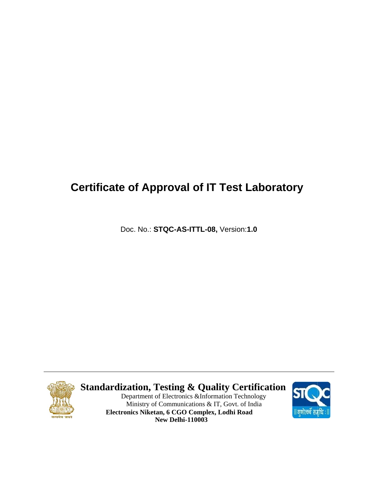## **Certificate of Approval of IT Test Laboratory**

Doc. No.: STQC-AS-ITTL-08, Version:1.0



#### **Standardization, Testing & Quality Certification**

Department of Electronics & Information Technology Ministry of Communications & IT, Govt. of India Electronics Niketan, 6 CGO Complex, Lodhi Road **New Delhi-110003** 

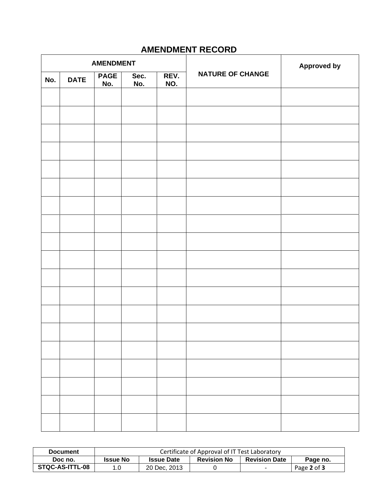### **AMENDMENT RECORD**

| <b>AMENDMENT</b> |             |                    |             |             |                         | <b>Approved by</b> |
|------------------|-------------|--------------------|-------------|-------------|-------------------------|--------------------|
| No.              | <b>DATE</b> | <b>PAGE</b><br>No. | Sec.<br>No. | REV.<br>NO. | <b>NATURE OF CHANGE</b> |                    |
|                  |             |                    |             |             |                         |                    |
|                  |             |                    |             |             |                         |                    |
|                  |             |                    |             |             |                         |                    |
|                  |             |                    |             |             |                         |                    |
|                  |             |                    |             |             |                         |                    |
|                  |             |                    |             |             |                         |                    |
|                  |             |                    |             |             |                         |                    |
|                  |             |                    |             |             |                         |                    |
|                  |             |                    |             |             |                         |                    |
|                  |             |                    |             |             |                         |                    |
|                  |             |                    |             |             |                         |                    |
|                  |             |                    |             |             |                         |                    |
|                  |             |                    |             |             |                         |                    |
|                  |             |                    |             |             |                         |                    |
|                  |             |                    |             |             |                         |                    |
|                  |             |                    |             |             |                         |                    |
|                  |             |                    |             |             |                         |                    |
|                  |             |                    |             |             |                         |                    |
|                  |             |                    |             |             |                         |                    |
|                  |             |                    |             |             |                         |                    |

| <b>Document</b> | Certificate of Approval of IT Test Laboratory |                   |                    |                      |             |  |
|-----------------|-----------------------------------------------|-------------------|--------------------|----------------------|-------------|--|
| Doc no.         | <b>Issue No</b>                               | <b>Issue Date</b> | <b>Revision No</b> | <b>Revision Date</b> | Page no.    |  |
| STQC-AS-ITTL-08 | 1.0                                           | 20 Dec, 2013      |                    |                      | Page 2 of 3 |  |